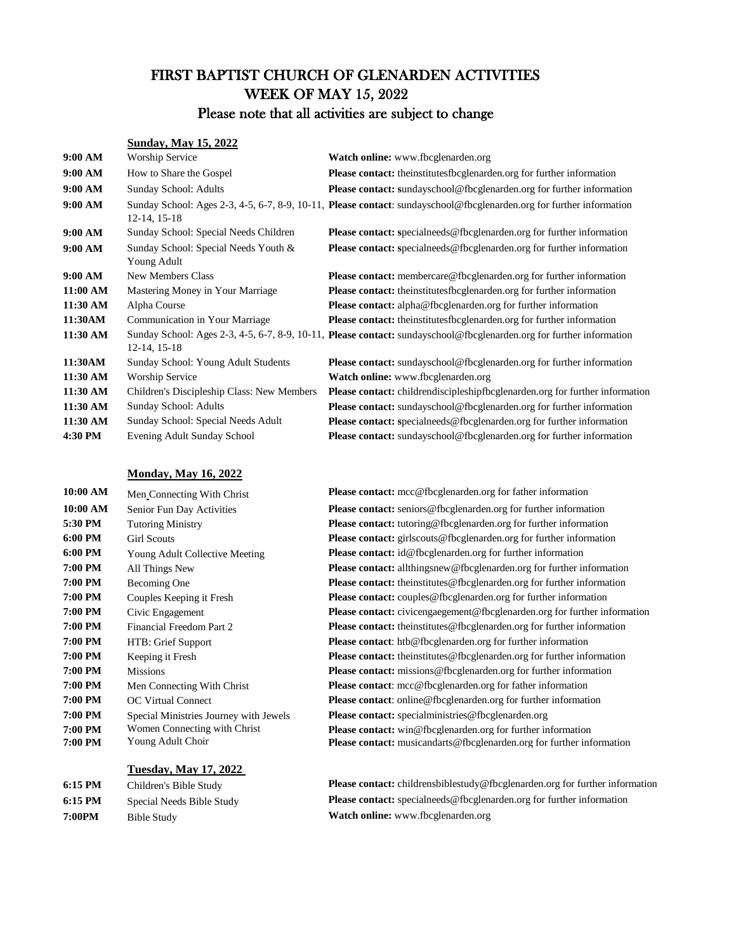# FIRST BAPTIST CHURCH OF GLENARDEN ACTIVITIES WEEK OF MAY 15, 2022

### Please note that all activities are subject to change

#### **Sunday, May 15, 2022**

| 9:00 AM  | Worship Service                                     | <b>Watch online:</b> www.fbcglenarden.org                                                                            |
|----------|-----------------------------------------------------|----------------------------------------------------------------------------------------------------------------------|
| 9:00 AM  | How to Share the Gospel                             | <b>Please contact:</b> the institutes followed and en.org for further information                                    |
| 9:00 AM  | Sunday School: Adults                               | <b>Please contact:</b> sundayschool@fbcglenarden.org for further information                                         |
| 9:00 AM  | 12-14, 15-18                                        | Sunday School: Ages 2-3, 4-5, 6-7, 8-9, 10-11, Please contact: sundayschool@fbcglenarden.org for further information |
| 9:00 AM  | Sunday School: Special Needs Children               | <b>Please contact:</b> specialneeds@fbcglenarden.org for further information                                         |
| 9:00 AM  | Sunday School: Special Needs Youth &<br>Young Adult | <b>Please contact:</b> specialneeds@fbcglenarden.org for further information                                         |
| 9:00 AM  | <b>New Members Class</b>                            | <b>Please contact:</b> membercare@fbcglenarden.org for further information                                           |
| 11:00 AM | Mastering Money in Your Marriage                    | Please contact: theinstitutesfbcglenarden.org for further information                                                |
| 11:30 AM | Alpha Course                                        | <b>Please contact:</b> alpha@fbcglenarden.org for further information                                                |
| 11:30AM  | Communication in Your Marriage                      | <b>Please contact:</b> the institutes focglenarden org for further information                                       |
| 11:30 AM | 12-14, 15-18                                        | Sunday School: Ages 2-3, 4-5, 6-7, 8-9, 10-11, Please contact: sundayschool@fbcglenarden.org for further information |
| 11:30AM  | Sunday School: Young Adult Students                 | <b>Please contact:</b> sundayschool@fbcglenarden.org for further information                                         |
| 11:30 AM | <b>Worship Service</b>                              | Watch online: www.fbcglenarden.org                                                                                   |
| 11:30 AM | Children's Discipleship Class: New Members          | <b>Please contact:</b> childrendiscipleshipfbcglenarden.org for further information                                  |
| 11:30 AM | Sunday School: Adults                               | <b>Please contact:</b> sundayschool@fbcglenarden.org for further information                                         |
| 11:30 AM | Sunday School: Special Needs Adult                  | <b>Please contact:</b> specialneeds@fbcglenarden.org for further information                                         |
| 4:30 PM  | Evening Adult Sunday School                         | <b>Please contact:</b> sundayschool@fbcglenarden.org for further information                                         |
|          |                                                     |                                                                                                                      |

#### **Monday, May 16, 2022**

| 10:00 AM | Men Connecting With Christ           |
|----------|--------------------------------------|
| 10:00 AM | Senior Fun Day Activities            |
| 5:30 PM  | <b>Tutoring Ministry</b>             |
| 6:00 PM  | Girl Scouts                          |
| 6:00 PM  | Young Adult Collective Meeting       |
| 7:00 PM  | All Things New                       |
| 7:00 PM  | Becoming One                         |
| 7:00 PM  | Couples Keeping it Fresh             |
| 7:00 PM  | Civic Engagement                     |
| 7:00 PM  | Financial Freedom Part 2             |
| 7:00 PM  | HTB: Grief Support                   |
| 7:00 PM  | Keeping it Fresh                     |
| 7:00 PM  | <b>Missions</b>                      |
| 7:00 PM  | Men Connecting With Christ           |
| 7:00 PM  | <b>OC Virtual Connect</b>            |
| 7:00 PM  | Special Ministries Journey with Jewe |
| 7:00 PM  | Women Connecting with Christ         |
| 7:00 PM  | Young Adult Choir                    |

#### **Tuesday, May 17, 2022**

**7:00PM** Bible Study **Watch online:** www.fbcglenarden.org

**Please contact:**  $mcc@fbcglenarden.org$  for father information **Please contact:** seniors@fbcglenarden.org for further information **Please contact:** tutoring@fbcglenarden.org for further information **Please contact:** girlscouts@fbcglenarden.org for further information Please contact: id@fbcglenarden.org for further information **Please contact:** allthingsnew@fbcglenarden.org for further information **Please contact:** theinstitutes@fbcglenarden.org for further information **Please contact:** couples@fbcglenarden.org for further information **Please contact:** civicengaegement@fbcglenarden.org for further information **Please contact:** theinstitutes@fbcglenarden.org for further information **Please contact**: htb@fbcglenarden.org for further information **Please contact:** theinstitutes@fbcglenarden.org for further information **Please contact:** missions@fbcglenarden.org for further information **Please contact:** mcc@fbcglenarden.org for father information Please contact: online@fbcglenarden.org for further information **Please contact:** special ministries@fbcglenarden.org **Please contact:** win@fbcglenarden.org for further information **Please contact:** musicandarts@fbcglenarden.org for further information

**6:15 PM** Children's Bible Study **Please contact:** childrensbiblestudy@fbcglenarden.org for further information **6:15 PM** Special Needs Bible Study **Please contact:** specialneeds@fbcglenarden.org for further information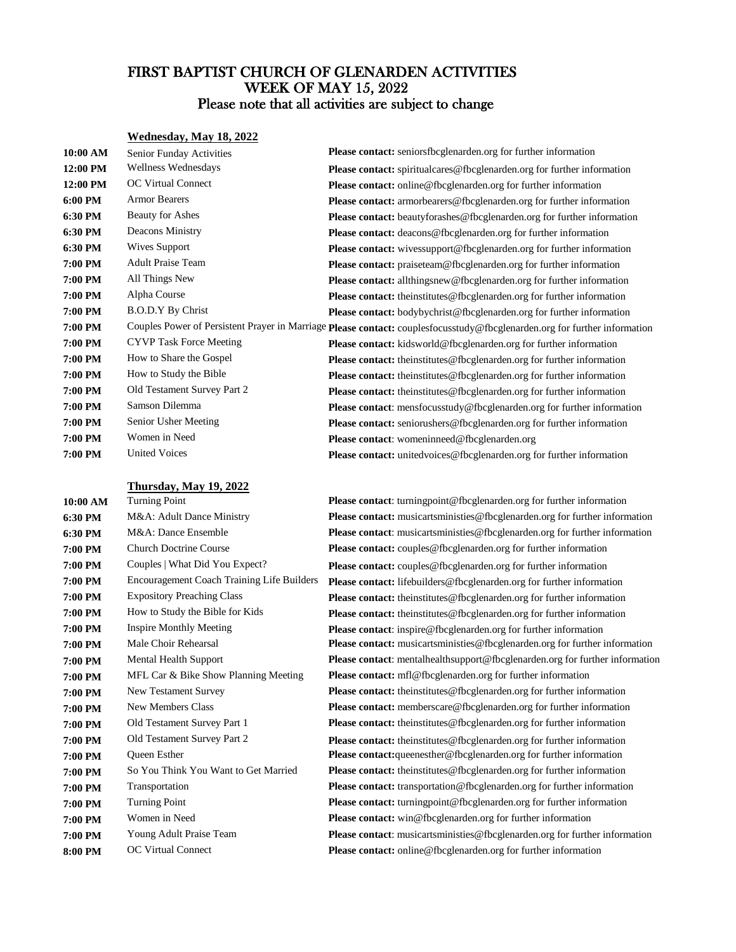### FIRST BAPTIST CHURCH OF GLENARDEN ACTIVITIES Please note that all activities are subject to change WEEK OF MAY 15, 2022

#### **Wednesday, May 18, 2022**

| 10:00 AM | Senior Funday Activities       | Please contact: seniorsfbcglenarden.org for further information                                                           |
|----------|--------------------------------|---------------------------------------------------------------------------------------------------------------------------|
| 12:00 PM | Wellness Wednesdays            | <b>Please contact:</b> spiritualcares@fbcglenarden.org for further information                                            |
| 12:00 PM | OC Virtual Connect             | Please contact: online@fbcglenarden.org for further information                                                           |
| 6:00 PM  | <b>Armor Bearers</b>           | Please contact: armorbearers@fbcglenarden.org for further information                                                     |
| 6:30 PM  | Beauty for Ashes               | <b>Please contact:</b> beautyforashes@fbcglenarden.org for further information                                            |
| 6:30 PM  | Deacons Ministry               | Please contact: deacons@fbcglenarden.org for further information                                                          |
| 6:30 PM  | <b>Wives Support</b>           | <b>Please contact:</b> wivessupport@fbcglenarden.org for further information                                              |
| 7:00 PM  | <b>Adult Praise Team</b>       | <b>Please contact:</b> praiseteam@fbcglenarden.org for further information                                                |
| 7:00 PM  | All Things New                 | <b>Please contact:</b> allthingsnew@fbcglenarden.org for further information                                              |
| 7:00 PM  | Alpha Course                   | <b>Please contact:</b> theinstitutes@fbcglenarden.org for further information                                             |
| 7:00 PM  | <b>B.O.D.Y By Christ</b>       | <b>Please contact:</b> bodybychrist@fbcglenarden.org for further information                                              |
| 7:00 PM  |                                | Couples Power of Persistent Prayer in Marriage Please contact: couplesfocusstudy@fbcglenarden.org for further information |
| 7:00 PM  | <b>CYVP</b> Task Force Meeting | Please contact: kidsworld@fbcglenarden.org for further information                                                        |
| 7:00 PM  | How to Share the Gospel        | Please contact: theinstitutes@fbcglenarden.org for further information                                                    |
| 7:00 PM  | How to Study the Bible         | Please contact: theinstitutes@fbcglenarden.org for further information                                                    |
| 7:00 PM  | Old Testament Survey Part 2    | <b>Please contact:</b> theinstitutes@fbcglenarden.org for further information                                             |
| 7:00 PM  | Samson Dilemma                 | <b>Please contact:</b> mensfocusstudy@fbcglenarden.org for further information                                            |
| 7:00 PM  | Senior Usher Meeting           | Please contact: seniorushers@fbcglenarden.org for further information                                                     |
| 7:00 PM  | Women in Need                  | Please contact: womeninneed@fbcglenarden.org                                                                              |
| 7:00 PM  | <b>United Voices</b>           | <b>Please contact:</b> unitedvoices@fbcglenarden.org for further information                                              |

#### **Thursday, May 19, 2022**

| 10:00 AM | I urning Point                             |
|----------|--------------------------------------------|
| 6:30 PM  | M&A: Adult Dance Ministry                  |
| 6:30 PM  | M&A: Dance Ensemble                        |
| 7:00 PM  | <b>Church Doctrine Course</b>              |
| 7:00 PM  | Couples   What Did You Expect?             |
| 7:00 PM  | Encouragement Coach Training Life Builders |
| 7:00 PM  | <b>Expository Preaching Class</b>          |
| 7:00 PM  | How to Study the Bible for Kids            |
| 7:00 PM  | <b>Inspire Monthly Meeting</b>             |
| 7:00 PM  | Male Choir Rehearsal                       |
| 7:00 PM  | Mental Health Support                      |
| 7:00 PM  | MFL Car & Bike Show Planning Meeting       |
| 7:00 PM  | New Testament Survey                       |
| 7:00 PM  | <b>New Members Class</b>                   |
| 7:00 PM  | Old Testament Survey Part 1                |
| 7:00 PM  | Old Testament Survey Part 2                |
| 7:00 PM  | <b>Oueen Esther</b>                        |
| 7:00 PM  | So You Think You Want to Get Married       |
| 7:00 PM  | Transportation                             |
| 7:00 PM  | <b>Turning Point</b>                       |
| 7:00 PM  | Women in Need                              |
| 7:00 PM  | Young Adult Praise Team                    |
| 8:00 PM  | <b>OC Virtual Connect</b>                  |

**Please contact**: turning point @fbcglenarden.org for further information **Please contact:** musicartsministies@fbcglenarden.org for further information **Please contact:** musicartsministies@fbcglenarden.org for further information **Please contact:** couples@fbcglenarden.org for further information **Please contact:** couples@fbcglenarden.org for further information **Please contact:** lifebuilders@fbcglenarden.org for further information **Please contact:** theinstitutes@fbcglenarden.org for further information **Please contact:** theinstitutes@fbcglenarden.org for further information Please contact: inspire@fbcglenarden.org for further information **Please contact:** musicartsministies@fbcglenarden.org for further information

**Please contact:** mentalhealth support @fbcglenarden.org for further information **Please contact:**  $mfl@fbcglenarden.org$  for further information **Please contact:** theinstitutes@fbcglenarden.org for further information **Please contact:** memberscare@fbcglenarden.org for further information **Please contact:** theinstitutes@fbcglenarden.org for further information **Please contact:** theinstitutes@fbcglenarden.org for further information **Please contact:**queenesther@fbcglenarden.org for further information **Please contact:** theinstitutes@fbcglenarden.org for further information **Please contact:** transportation@fbcglenarden.org for further information **Please contact:** turning point @fbcglenarden.org for further information **Please contact:** win@fbcglenarden.org for further information **Please contact**: musicartsministies@fbcglenarden.org for further information **Please contact:** online@fbcglenarden.org for further information